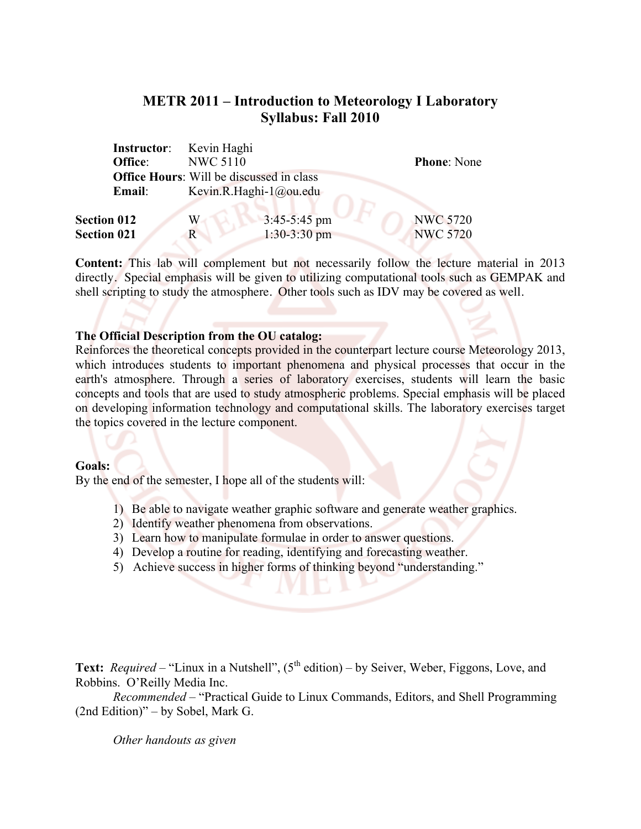# **METR 2011 – Introduction to Meteorology I Laboratory Syllabus: Fall 2010**

|                    | <b>Instructor:</b> Kevin Haghi |                                                 |                    |  |
|--------------------|--------------------------------|-------------------------------------------------|--------------------|--|
| <b>Office:</b>     | <b>NWC 5110</b>                |                                                 | <b>Phone:</b> None |  |
|                    |                                | <b>Office Hours:</b> Will be discussed in class |                    |  |
| Email:             |                                | Kevin.R.Haghi-1@ou.edu                          |                    |  |
| <b>Section 012</b> | W                              | $3:45-5:45$ pm                                  | <b>NWC 5720</b>    |  |
| <b>Section 021</b> | R                              | $1:30-3:30$ pm                                  | <b>NWC 5720</b>    |  |

**Content:** This lab will complement but not necessarily follow the lecture material in 2013 directly. Special emphasis will be given to utilizing computational tools such as GEMPAK and shell scripting to study the atmosphere. Other tools such as IDV may be covered as well.

#### **The Official Description from the OU catalog:**

Reinforces the theoretical concepts provided in the counterpart lecture course Meteorology 2013, which introduces students to important phenomena and physical processes that occur in the earth's atmosphere. Through a series of laboratory exercises, students will learn the basic concepts and tools that are used to study atmospheric problems. Special emphasis will be placed on developing information technology and computational skills. The laboratory exercises target the topics covered in the lecture component.

#### **Goals:**

By the end of the semester, I hope all of the students will:

- 1) Be able to navigate weather graphic software and generate weather graphics.
- 2) Identify weather phenomena from observations.
- 3) Learn how to manipulate formulae in order to answer questions.
- 4) Develop a routine for reading, identifying and forecasting weather.
- 5) Achieve success in higher forms of thinking beyond "understanding."

Text: *Required* – "Linux in a Nutshell", (5<sup>th</sup> edition) – by Seiver, Weber, Figgons, Love, and Robbins. O'Reilly Media Inc.

*Recommended* – "Practical Guide to Linux Commands, Editors, and Shell Programming (2nd Edition)" – by Sobel, Mark G.

*Other handouts as given*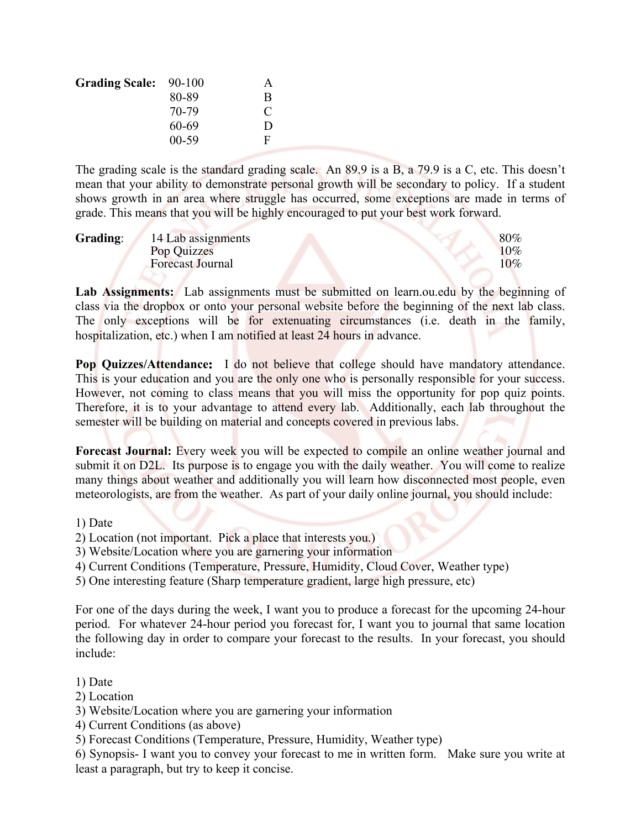| <b>Grading Scale:</b> | 90-100    | A            |
|-----------------------|-----------|--------------|
|                       | 80-89     | B            |
|                       | 70-79     | €            |
|                       | 60-69     | $\mathbf{D}$ |
|                       | $00 - 59$ | F            |

The grading scale is the standard grading scale. An 89.9 is a B, a 79.9 is a C, etc. This doesn't mean that your ability to demonstrate personal growth will be secondary to policy. If a student shows growth in an area where struggle has occurred, some exceptions are made in terms of grade. This means that you will be highly encouraged to put your best work forward.

| Grading: | 14 Lab assignments      | 80%    |
|----------|-------------------------|--------|
|          | Pop Quizzes             | $10\%$ |
|          | <b>Forecast Journal</b> | $10\%$ |

Lab Assignments: Lab assignments must be submitted on learn.ou.edu by the beginning of class via the dropbox or onto your personal website before the beginning of the next lab class. The only exceptions will be for extenuating circumstances (i.e. death in the family, hospitalization, etc.) when I am notified at least 24 hours in advance.

**Pop Quizzes/Attendance:** I do not believe that college should have mandatory attendance. This is your education and you are the only one who is personally responsible for your success. However, not coming to class means that you will miss the opportunity for pop quiz points. Therefore, it is to your advantage to attend every lab. Additionally, each lab throughout the semester will be building on material and concepts covered in previous labs.

**Forecast Journal:** Every week you will be expected to compile an online weather journal and submit it on D2L. Its purpose is to engage you with the daily weather. You will come to realize many things about weather and additionally you will learn how disconnected most people, even meteorologists, are from the weather. As part of your daily online journal, you should include:

### 1) Date

- 2) Location (not important. Pick a place that interests you.)
- 3) Website/Location where you are garnering your information
- 4) Current Conditions (Temperature, Pressure, Humidity, Cloud Cover, Weather type)
- 5) One interesting feature (Sharp temperature gradient, large high pressure, etc)

For one of the days during the week, I want you to produce a forecast for the upcoming 24-hour period. For whatever 24-hour period you forecast for, I want you to journal that same location the following day in order to compare your forecast to the results. In your forecast, you should include:

# 1) Date

- 2) Location
- 3) Website/Location where you are garnering your information
- 4) Current Conditions (as above)
- 5) Forecast Conditions (Temperature, Pressure, Humidity, Weather type)

6) Synopsis- I want you to convey your forecast to me in written form. Make sure you write at least a paragraph, but try to keep it concise.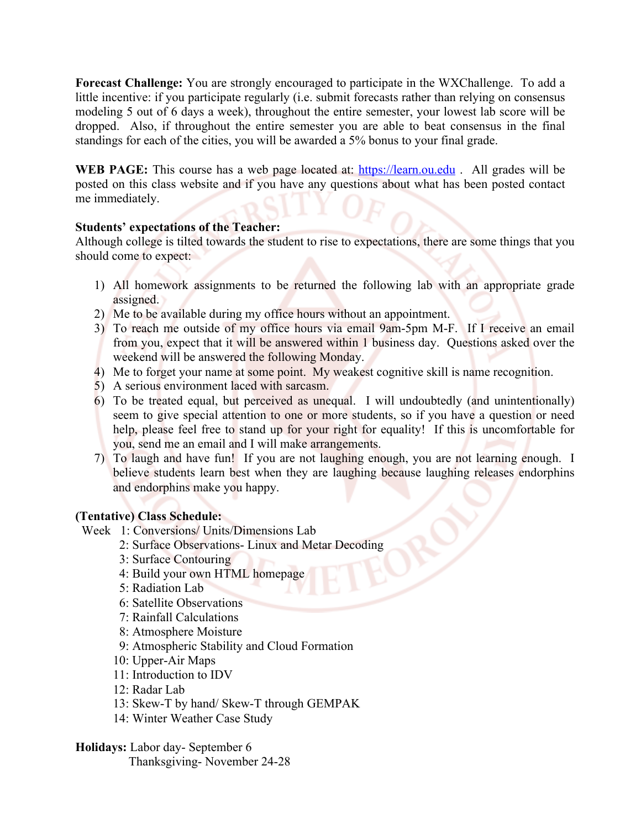**Forecast Challenge:** You are strongly encouraged to participate in the WXChallenge. To add a little incentive: if you participate regularly (i.e. submit forecasts rather than relying on consensus modeling 5 out of 6 days a week), throughout the entire semester, your lowest lab score will be dropped. Also, if throughout the entire semester you are able to beat consensus in the final standings for each of the cities, you will be awarded a 5% bonus to your final grade.

**WEB PAGE:** This course has a web page located at: https://learn.ou.edu . All grades will be posted on this class website and if you have any questions about what has been posted contact me immediately.

# **Students' expectations of the Teacher:**

Although college is tilted towards the student to rise to expectations, there are some things that you should come to expect:

- 1) All homework assignments to be returned the following lab with an appropriate grade assigned.
- 2) Me to be available during my office hours without an appointment.
- 3) To reach me outside of my office hours via email 9am-5pm M-F. If I receive an email from you, expect that it will be answered within 1 business day. Questions asked over the weekend will be answered the following Monday.
- 4) Me to forget your name at some point. My weakest cognitive skill is name recognition.
- 5) A serious environment laced with sarcasm.
- 6) To be treated equal, but perceived as unequal. I will undoubtedly (and unintentionally) seem to give special attention to one or more students, so if you have a question or need help, please feel free to stand up for your right for equality! If this is uncomfortable for you, send me an email and I will make arrangements.
- 7) To laugh and have fun! If you are not laughing enough, you are not learning enough. I believe students learn best when they are laughing because laughing releases endorphins and endorphins make you happy.

# **(Tentative) Class Schedule:**

Week 1: Conversions/ Units/Dimensions Lab

- 2: Surface Observations- Linux and Metar Decoding
- 3: Surface Contouring
- 4: Build your own HTML homepage
- 5: Radiation Lab
- 6: Satellite Observations
- 7: Rainfall Calculations
- 8: Atmosphere Moisture
- 9: Atmospheric Stability and Cloud Formation
- 10: Upper-Air Maps
- 11: Introduction to IDV
- 12: Radar Lab
- 13: Skew-T by hand/ Skew-T through GEMPAK
- 14: Winter Weather Case Study

**Holidays:** Labor day- September 6

Thanksgiving- November 24-28